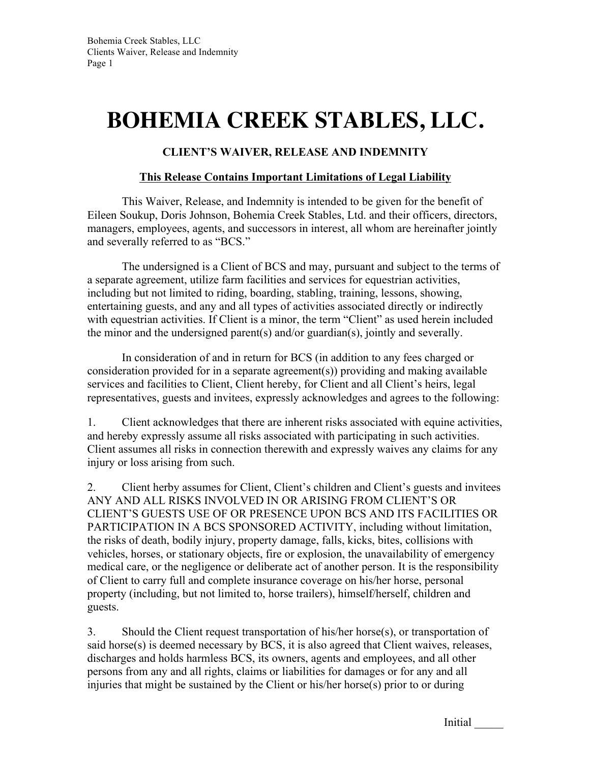## **BOHEMIA CREEK STABLES, LLC.**

## **CLIENT'S WAIVER, RELEASE AND INDEMNITY**

## **This Release Contains Important Limitations of Legal Liability**

This Waiver, Release, and Indemnity is intended to be given for the benefit of Eileen Soukup, Doris Johnson, Bohemia Creek Stables, Ltd. and their officers, directors, managers, employees, agents, and successors in interest, all whom are hereinafter jointly and severally referred to as "BCS."

The undersigned is a Client of BCS and may, pursuant and subject to the terms of a separate agreement, utilize farm facilities and services for equestrian activities, including but not limited to riding, boarding, stabling, training, lessons, showing, entertaining guests, and any and all types of activities associated directly or indirectly with equestrian activities. If Client is a minor, the term "Client" as used herein included the minor and the undersigned parent(s) and/or guardian(s), jointly and severally.

In consideration of and in return for BCS (in addition to any fees charged or consideration provided for in a separate agreement(s)) providing and making available services and facilities to Client, Client hereby, for Client and all Client's heirs, legal representatives, guests and invitees, expressly acknowledges and agrees to the following:

1. Client acknowledges that there are inherent risks associated with equine activities, and hereby expressly assume all risks associated with participating in such activities. Client assumes all risks in connection therewith and expressly waives any claims for any injury or loss arising from such.

2. Client herby assumes for Client, Client's children and Client's guests and invitees ANY AND ALL RISKS INVOLVED IN OR ARISING FROM CLIENT'S OR CLIENT'S GUESTS USE OF OR PRESENCE UPON BCS AND ITS FACILITIES OR PARTICIPATION IN A BCS SPONSORED ACTIVITY, including without limitation, the risks of death, bodily injury, property damage, falls, kicks, bites, collisions with vehicles, horses, or stationary objects, fire or explosion, the unavailability of emergency medical care, or the negligence or deliberate act of another person. It is the responsibility of Client to carry full and complete insurance coverage on his/her horse, personal property (including, but not limited to, horse trailers), himself/herself, children and guests.

3. Should the Client request transportation of his/her horse(s), or transportation of said horse(s) is deemed necessary by BCS, it is also agreed that Client waives, releases, discharges and holds harmless BCS, its owners, agents and employees, and all other persons from any and all rights, claims or liabilities for damages or for any and all injuries that might be sustained by the Client or his/her horse(s) prior to or during